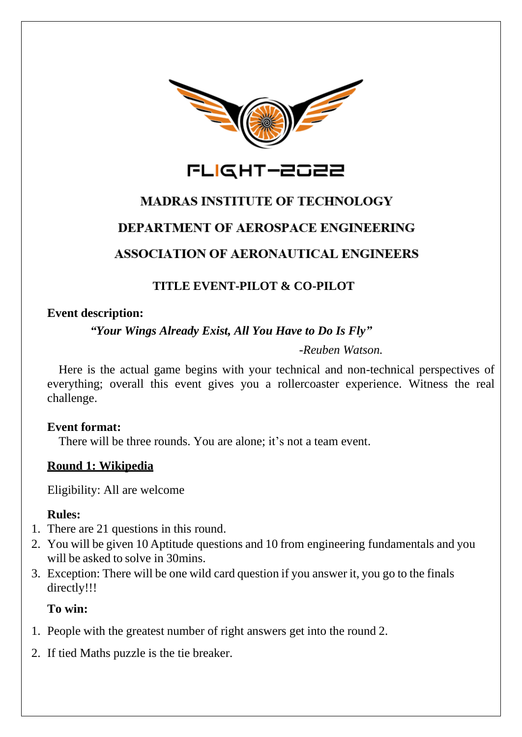

FLIGHT-2022

# **MADRAS INSTITUTE OF TECHNOLOGY**

# **DEPARTMENT OF AEROSPACE ENGINEERING**

# **ASSOCIATION OF AERONAUTICAL ENGINEERS**

# **TITLE EVENT-PILOT & CO-PILOT**

## **Event description:**

## *"Your Wings Already Exist, All You Have to Do Is Fly"*

*-Reuben Watson.*

Here is the actual game begins with your technical and non-technical perspectives of everything; overall this event gives you a rollercoaster experience. Witness the real challenge.

## **Event format:**

There will be three rounds. You are alone; it's not a team event.

## **Round 1: Wikipedia**

Eligibility: All are welcome

## **Rules:**

- 1. There are 21 questions in this round.
- 2. You will be given 10 Aptitude questions and 10 from engineering fundamentals and you will be asked to solve in 30mins.
- 3. Exception: There will be one wild card question if you answer it, you go to the finals directly!!!

## **To win:**

- 1. People with the greatest number of right answers get into the round 2.
- 2. If tied Maths puzzle is the tie breaker.